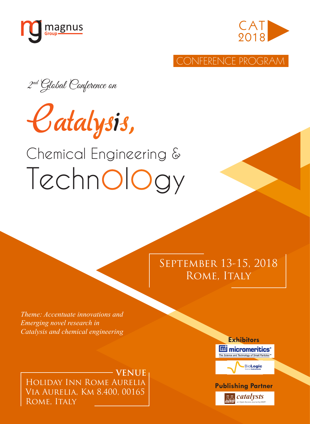



CONFERENCE PROGRAM

2<sup>nd</sup> Global Conference on



# Chemical Engineering & Technology

# September 13-15, 2018 ROME, ITALY

*Theme: Accentuate innovations and Emerging novel research in Catalysis and chemical engineering*

Holiday Inn Rome Aurelia Via Aurelia, Km 8.400, 00165 ROME, ITALY **VENUE**



catalysts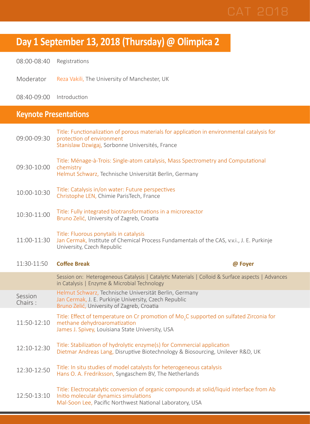# **Day 1 September 13, 2018 (Thursday) @ Olimpica 2**

08:00-08:40 Registrations

Moderator Reza Vakili, The University of Manchester, UK

08:40-09:00 Introduction

### **Keynote Presentations**

| 09:00-09:30        | Title: Functionalization of porous materials for application in environmental catalysis for<br>protection of environment<br>Stanislaw Dzwigaj, Sorbonne Universités, France              |
|--------------------|------------------------------------------------------------------------------------------------------------------------------------------------------------------------------------------|
| 09:30-10:00        | Title: Ménage-à-Trois: Single-atom catalysis, Mass Spectrometry and Computational<br>chemistry<br>Helmut Schwarz, Technische Universität Berlin, Germany                                 |
| 10:00-10:30        | Title: Catalysis in/on water: Future perspectives<br>Christophe LEN, Chimie ParisTech, France                                                                                            |
| 10:30-11:00        | Title: Fully integrated biotransformations in a microreactor<br>Bruno Zelić, University of Zagreb, Croatia                                                                               |
| 11:00-11:30        | Title: Fluorous ponytails in catalysis<br>Jan Cermak, Institute of Chemical Process Fundamentals of the CAS, v.v.i., J. E. Purkinje<br>University, Czech Republic                        |
| 11:30-11:50        | <b>Coffee Break</b><br>@ Foyer                                                                                                                                                           |
|                    |                                                                                                                                                                                          |
|                    | Session on: Heterogeneous Catalysis   Catalytic Materials   Colloid & Surface aspects   Advances<br>in Catalysis   Enzyme & Microbial Technology                                         |
| Session<br>Chairs: | Helmut Schwarz, Technische Universität Berlin, Germany<br>Jan Cermak, J. E. Purkinje University, Czech Republic<br>Bruno Zelić, University of Zagreb, Croatia                            |
| 11:50-12:10        | Title: Effect of temperature on Cr promotion of Mo <sub>2</sub> C supported on sulfated Zirconia for<br>methane dehydroaromatization<br>James J. Spivey, Louisiana State University, USA |
| 12:10-12:30        | Title: Stabilization of hydrolytic enzyme(s) for Commercial application<br>Dietmar Andreas Lang, Disruptive Biotechnology & Biosourcing, Unilever R&D, UK                                |
| 12:30-12:50        | Title: In situ studies of model catalysts for heterogeneous catalysis<br>Hans O. A. Fredriksson, Syngaschem BV, The Netherlands                                                          |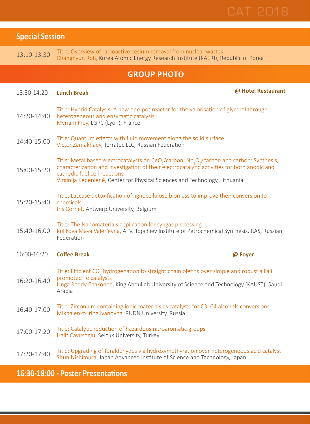

| <b>Special Session</b> |                                                                                                                                                                                                                                                                                                                                              |
|------------------------|----------------------------------------------------------------------------------------------------------------------------------------------------------------------------------------------------------------------------------------------------------------------------------------------------------------------------------------------|
| 13:10-13:30            | Title: Overview of radioactive cesium removal from nuclear wastes<br>Changhyun Roh, Korea Atomic Energy Research Institute (KAERI), Republic of Korea                                                                                                                                                                                        |
|                        | <b>GROUP PHOTO</b>                                                                                                                                                                                                                                                                                                                           |
| 13:30-14:20            | @ Hotel Restaurant<br><b>Lunch Break</b>                                                                                                                                                                                                                                                                                                     |
| 14:20-14:40            | Title: Hybrid Catalysis: A new one-pot reactor for the valorisation of glycerol through<br>heterogeneous and enzymatic catalysis<br>Myriam Frey, LGPC (Lyon), France                                                                                                                                                                         |
| 14:40-15:00            | Title: Quantum effects with fluid movement along the solid surface<br>Victor Zamakhaev, Terratec LLC, Russian Federation                                                                                                                                                                                                                     |
| 15:00-15:20            | Title: Metal based electrocatalysts on CeO <sub>2</sub> /carbon, Nb <sub>2</sub> O <sub>c</sub> /carbon and carbon: Synthesis,<br>characterization and investigation of their electrocatalytic activities for both anodic and<br>cathodic fuel cell reactions<br>Virginija Kepenienė, Center for Physical Sciences and Technology, Lithuania |
| 15:20-15:40            | Title: Laccase detoxification of lignocellulose biomass to improve their conversion to<br>chemicals<br>Iris Cornet, Antwerp University, Belgium                                                                                                                                                                                              |
| 15:40-16:00            | Title: The Nanomaterials application for syngas processing<br>Kulikova Maya Valer'evna, A. V. Topchiev Institute of Petrochemical Synthesis, RAS, Russian<br>Federation                                                                                                                                                                      |
| 16:00-16:20            | <b>Coffee Break</b><br>@ Foyer                                                                                                                                                                                                                                                                                                               |
| 16:20-16:40            | Title: Efficient CO <sub>2</sub> hydrogenation to straight chain olefins over simple and robust alkali<br>promoted Fe catalysts<br>Linga Reddy Enakonda, King Abdullah University of Science and Technology (KAUST), Saudi<br>Arabia                                                                                                         |
| 16:40-17:00            | Title: Zirconium containing ionic materials as catalysts for C3, C4 alcohols conversions<br>Mikhalenko Irina Ivanovna, RUDN University, Russia                                                                                                                                                                                               |
| 17:00-17:20            | Title: Catalytic reduction of hazardous nitroaromatic groups<br>Halit Cavusoglu, Selcuk University, Turkey                                                                                                                                                                                                                                   |
| 17:20-17:40            | Title: Upgrading of furaldehydes via hydroxymethyration over heterogeneous acid catalyst<br>Shun Nishimura, Japan Advanced Institute of Science and Technology, Japan                                                                                                                                                                        |

### **16:30-18:00 - Poster Presentations**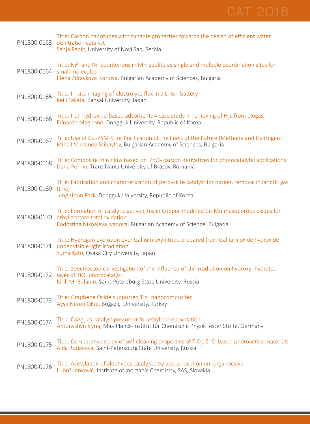|             | Title: Carbon nanotubes with tunable properties towards the design of efficient water<br>PN1800-0163 denitration catalyst<br>Sanja Panic, University of Novi Sad, Serbia                                    |
|-------------|-------------------------------------------------------------------------------------------------------------------------------------------------------------------------------------------------------------|
| PN1800-0164 | Title: Ni <sup>2+</sup> and Ni <sup>+</sup> counterions in MFI zeolite as single and multiple coordination sites for<br>small molecules<br>Elena Zdravkova Ivanova, Bulgarian Academy of Sciences, Bulgaria |
| PN1800-0165 | Title: In-situ imaging of electrolyte flux in a Li-ion battery<br>Keiji Takata, Kansai University, Japan                                                                                                    |
| PN1800-0166 | Title: Iron hydroxide-based adsorbent: A case study in removing of H <sub>2</sub> S from biogas<br>Edoardo Magnone, Dongguk University, Republic of Korea                                                   |
| PN1800-0167 | Title: Use of Cu <sup>1</sup> -ZSM-5 for Purification of the Fuels of the Future (Methane and Hydrogen)<br>Mihail Yordanov Mihaylov, Bulgarian Academy of Sciences, Bulgaria                                |
| PN1800-0168 | Title: Composite thin films based on ZnO- carbon derivatives for photocatalytic applications<br>Dana Perniu, Transilvania University of Brasov, Romania                                                     |
| PN1800-0169 | Title: Fabrication and characterization of perovskite catalyst for oxygen removal in landfill gas<br>(LFG)<br>Jung Hoon Park, Dongguk University, Republic of Korea                                         |
| PN1800-0170 | Title: Formation of catalytic active cites in Copper modified Ce-Mn mesoporous oxides for<br>ethyl acetate total oxidation<br>Radostina Nikoaleva Ivanova, Bulgarian Academy of Science, Bulgaria           |
|             | Title: Hydrogen evolution over Gallium oxynitride prepared from Gallium oxide hydroxide<br>PN1800-0171 under visible light irradiation<br>Yuma Kato, Osaka City University, Japan                           |
| PN1800-0172 | Title: Spectroscopic investigation of the influence of UV-irradiation on hydroxyl-hydrated<br>layer of TiO <sub>2</sub> photocatalyst<br>Kirill M. Bulanin, Saint-Petersburg State University, Russia       |
| PN1800-0173 | Title: Graphene Oxide supported Tio, nanocomposites<br>Ayşe Neren Ökte, Boğaziçi University, Turkey                                                                                                         |
| PN1800-0174 | Title: CaAg, as catalyst precursor for ethylene epoxidation<br>Antonyshyn Iryna, Max-Planck-Institut für Chemische Physik fester Stoffe, Germany                                                            |
| PN1800-0175 | Title: Comparative study of self-cleaning properties of TiO <sub>2</sub> , ZnO-based photoactive materials<br>Aida Rudakova, Saint-Petersburg State University, Russia                                      |
| PN1800-0176 | Title: Acetylation of aldehydes catalyzed by acid phosphonium organoclays<br>Luboš Jankovič, Institute of Inorganic Chemistry, SAS, Slovakia                                                                |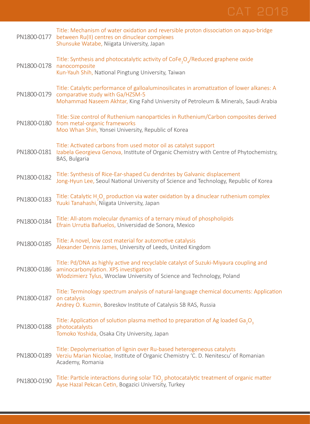|             | Title: Mechanism of water oxidation and reversible proton dissociation on aquo-bridge<br>PN1800-0177 between Ru(II) centres on dinuclear complexes<br>Shunsuke Watabe, Niigata University, Japan                      |
|-------------|-----------------------------------------------------------------------------------------------------------------------------------------------------------------------------------------------------------------------|
| PN1800-0178 | Title: Synthesis and photocatalytic activity of CoFe <sub>2</sub> O <sub>n</sub> /Reduced graphene oxide<br>nanocomposite<br>Kun-Yauh Shih, National Pingtung University, Taiwan                                      |
| PN1800-0179 | Title: Catalytic performance of galloaluminosilicates in aromatization of lower alkanes: A<br>comparative study with Ga/HZSM-5<br>Mohammad Naseem Akhtar, King Fahd University of Petroleum & Minerals, Saudi Arabia  |
|             | Title: Size control of Ruthenium nanoparticles in Ruthenium/Carbon composites derived<br>PN1800-0180 from metal-organic frameworks<br>Moo Whan Shin, Yonsei University, Republic of Korea                             |
|             | Title: Activated carbons from used motor oil as catalyst support<br>PN1800-0181 Izabela Georgieva Genova, Institute of Organic Chemistry with Centre of Phytochemistry,<br>BAS, Bulgaria                              |
| PN1800-0182 | Title: Synthesis of Rice-Ear-shaped Cu dendrites by Galvanic displacement<br>Jong-Hyun Lee, Seoul National University of Science and Technology, Republic of Korea                                                    |
| PN1800-0183 | Title: Catalytic H <sub>2</sub> O <sub>2</sub> production via water oxidation by a dinuclear ruthenium complex<br>Yuuki Tanahashi, Niigata University, Japan                                                          |
| PN1800-0184 | Title: All-atom molecular dynamics of a ternary mixud of phospholipids<br>Efrain Urrutia Bañuelos, Universidad de Sonora, Mexico                                                                                      |
| PN1800-0185 | Title: A novel, low cost material for automotive catalysis<br>Alexander Dennis James, University of Leeds, United Kingdom                                                                                             |
|             | Title: Pd/DNA as highly active and recyclable catalyst of Suzuki-Miyaura coupling and<br>PN1800-0186 aminocarbonylation. XPS investigation<br>Wlodzimierz Tylus, Wroclaw University of Science and Technology, Poland |
| PN1800-0187 | Title: Terminology spectrum analysis of natural-language chemical documents: Application<br>on catalysis<br>Andrey O. Kuzmin, Boreskov Institute of Catalysis SB RAS, Russia                                          |
| PN1800-0188 | Title: Application of solution plasma method to preparation of Ag loaded Ga <sub>2</sub> O <sub>3</sub><br>photocatalysts<br>Tomoko Yoshida, Osaka City University, Japan                                             |
|             | Title: Depolymerisation of lignin over Ru-based heterogeneous catalysts<br>PN1800-0189 Verziu Marian Nicolae, Institute of Organic Chemistry 'C. D. Nenitescu' of Romanian<br>Academy, Romania                        |
| PN1800-0190 | Title: Particle interactions during solar TiO <sub>,</sub> photocatalytic treatment of organic matter<br>Ayse Hazal Pekcan Cetin, Bogazici University, Turkey                                                         |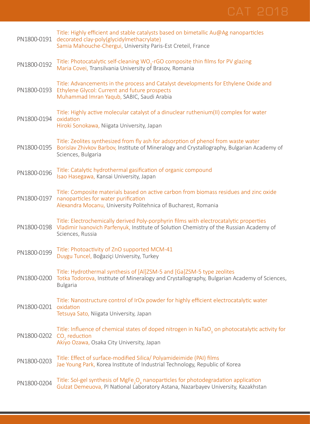

| PN1800-0191 | Title: Highly efficient and stable catalysts based on bimetallic Au@Ag nanoparticles<br>decorated clay-poly(glycidylmethacrylate)<br>Samia Mahouche-Chergui, University Paris-Est Creteil, France      |
|-------------|--------------------------------------------------------------------------------------------------------------------------------------------------------------------------------------------------------|
| PN1800-0192 | Title: Photocatalytic self-cleaning WO <sub>3</sub> -rGO composite thin films for PV glazing<br>Maria Covei, Transilvania University of Brasov, Romania                                                |
| PN1800-0193 | Title: Advancements in the process and Catalyst developments for Ethylene Oxide and<br>Ethylene Glycol: Current and future prospects<br>Muhammad Imran Yaqub, SABIC, Saudi Arabia                      |
| PN1800-0194 | Title: Highly active molecular catalyst of a dinuclear ruthenium(II) complex for water<br>oxidation<br>Hiroki Sonokawa, Niigata University, Japan                                                      |
| PN1800-0195 | Title: Zeolites synthesized from fly ash for adsorption of phenol from waste water<br>Borislav Zhivkov Barbov, Institute of Mineralogy and Crystallography, Bulgarian Academy of<br>Sciences, Bulgaria |
| PN1800-0196 | Title: Catalytic hydrothermal gasification of organic compound<br>Isao Hasegawa, Kansai University, Japan                                                                                              |
| PN1800-0197 | Title: Composite materials based on active carbon from biomass residues and zinc oxide<br>nanoparticles for water purification<br>Alexandra Mocanu, University Politehnica of Bucharest, Romania       |
| PN1800-0198 | Title: Electrochemically derived Poly-porphyrin films with electrocatalytic properties<br>Vladimir Ivanovich Parfenyuk, Institute of Solution Chemistry of the Russian Academy of<br>Sciences, Russia  |
| PN1800-0199 | Title: Photoactivity of ZnO supported MCM-41<br>Duygu Tuncel, Boğaziçi University, Turkey                                                                                                              |
| PN1800-0200 | Title: Hydrothermal synthesis of [Al]ZSM-5 and [Ga]ZSM-5 type zeolites<br>Totka Todorova, Institute of Mineralogy and Crystallography, Bulgarian Academy of Sciences,<br><b>Bulgaria</b>               |
| PN1800-0201 | Title: Nanostructure control of IrOx powder for highly efficient electrocatalytic water<br>oxidation<br>Tetsuya Sato, Niigata University, Japan                                                        |
| PN1800-0202 | Title: Influence of chemical states of doped nitrogen in NaTaO <sub>2</sub> on photocatalytic activity for<br>$CO2$ reduction<br>Akiyo Ozawa, Osaka City University, Japan                             |
| PN1800-0203 | Title: Effect of surface-modified Silica/ Polyamideimide (PAI) films<br>Jae Young Park, Korea Institute of Industrial Technology, Republic of Korea                                                    |
| PN1800-0204 | Title: Sol-gel synthesis of MgFe <sub>2</sub> O <sub>4</sub> nanoparticles for photodegradation application<br>Gulzat Demeuova, PI National Laboratory Astana, Nazarbayev University, Kazakhstan       |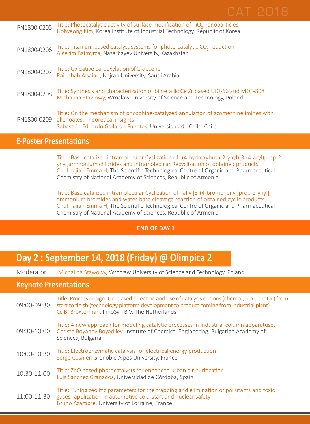| PN1800-0205 | Title: Photocatalytic activity of surface modification of TiO <sub>2</sub> nanoparticles<br>Hohyeong Kim, Korea Institute of Industrial Technology, Republic of Korea                      |
|-------------|--------------------------------------------------------------------------------------------------------------------------------------------------------------------------------------------|
| PN1800-0206 | Title: Titanium based catalyst systems for photo-catalytic CO <sub>2</sub> reduction<br>Aigerim Baimyrza, Nazarbayev University, Kazakhstan                                                |
| PN1800-0207 | Title: Oxidative carboxylation of 1-decene<br>Raiedhah Alsaiari, Najran University, Saudi Arabia                                                                                           |
| PN1800-0208 | Title: Synthesis and characterization of bimetallic Ce Zr based UiO-66 and MOF-808<br>Michalina Stawowy, Wrocław University of Science and Technology, Poland                              |
| PN1800-0209 | Title: On the mechanism of phosphine-catalyzed annulation of azomethine imines with<br>allenoates: Theoretical insights<br>Sebastián Eduardo Gallardo Fuentes, Universidad de Chile, Chile |

### **E-Poster Presentations**

Title: Base catalized intramolecular Cyclization of -(4-hydroxybuth-2-ynyl)[3-(4-aryl)prop-2 ynyl]ammonium chlorides and intramolecular Recyclization of obtained products Chukhajian Emma H, The Scientific Technological Centre of Organic and Pharmaceutical Chemistry of National Academy of Sciences, Republic of Armenia

Title: Base catalized intramolecular Cyclization of –allyl[3-(4-bromphenyl)prop-2-ynyl] ammonium bromides and water-base cleavage reaction of obtained cyclic products Chukhajian Emma H, The Scientific Technological Centre of Organic and Pharmaceutical Chemistry of National Academy of Sciences, Republic of Armenia

### **END OF DAY 1**

## **Day 2 : September 14, 2018 (Friday) @ Olimpica 2**

Moderator Michalina Stawowy, Wrocław University of Science and Technology, Poland

### **Keynote Presentations**

| 09:00-09:30 | Title: Process design: Un-biased selection and use of catalysis options (chemo-, bio-, photo-) from<br>start to finish (technology platform development to product coming from industrial plant)<br>Q. B. Broxterman, InnoSyn B V, The Netherlands |
|-------------|----------------------------------------------------------------------------------------------------------------------------------------------------------------------------------------------------------------------------------------------------|
| 09:30-10:00 | Title: A new approach for modeling catalytic processes in Industrial column apparatuses<br>Christo Boyanov Boyadjiev, Institute of Chemical Engineering, Bulgarian Academy of<br>Sciences, Bulgaria                                                |
| 10:00-10:30 | Title: Electroenzymatic catalysis for electrical energy production<br>Serge Cosnier, Grenoble Alpes University, France                                                                                                                             |
| 10:30-11:00 | Title: ZnO based photocatalysts for enhanced urban air purification<br>Luis Sánchez Granados, Universidad de Córdoba, Spain                                                                                                                        |
| 11:00-11:30 | Title: Tuning zeolitic parameters for the trapping and elimination of pollutants and toxic<br>gases-application in automotive cold-start and nuclear safety<br>Bruno Azambre, University of Lorraine, France                                       |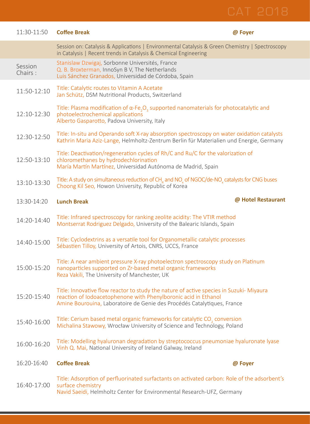| 11:30-11:50        | <b>Coffee Break</b>                                                                                                                                                                                                                   | @ Foyer            |
|--------------------|---------------------------------------------------------------------------------------------------------------------------------------------------------------------------------------------------------------------------------------|--------------------|
|                    | Session on: Catalysis & Applications   Environmental Catalysis & Green Chemistry   Spectroscopy<br>in Catalysis   Recent trends in Catalysis & Chemical Engineering                                                                   |                    |
| Session<br>Chairs: | Stanislaw Dzwigaj, Sorbonne Universités, France<br>Q. B. Broxterman, InnoSyn B V, The Netherlands<br>Luis Sánchez Granados, Universidad de Córdoba, Spain                                                                             |                    |
| 11:50-12:10        | Title: Catalytic routes to Vitamin A Acetate<br>Jan Schütz, DSM Nutritional Products, Switzerland                                                                                                                                     |                    |
| 12:10-12:30        | Title: Plasma modification of $\alpha$ -Fe <sub>2</sub> O <sub>3</sub> supported nanomaterials for photocatalytic and<br>photoelectrochemical applications<br>Alberto Gasparotto, Padova University, Italy                            |                    |
| 12:30-12:50        | Title: In-situ and Operando soft X-ray absorption spectroscopy on water oxidation catalysts<br>Kathrin Maria Aziz-Lange, Helmholtz-Zentrum Berlin für Materialien und Energie, Germany                                                |                    |
| 12:50-13:10        | Title: Deactivation/regeneration cycles of Rh/C and Ru/C for the valorization of<br>chloromethanes by hydrodechlorination<br>María Martín Martínez, Universidad Autónoma de Madrid, Spain                                             |                    |
| 13:10-13:30        | Title: A study on simultaneous reduction of CH <sub>4</sub> and NO <sub>2</sub> of NGOC/de-NO <sub>2</sub> catalysts for CNG buses<br>Choong Kil Seo, Howon University, Republic of Korea                                             |                    |
| 13:30-14:20        | <b>Lunch Break</b>                                                                                                                                                                                                                    | @ Hotel Restaurant |
| 14:20-14:40        | Title: Infrared spectroscopy for ranking zeolite acidity: The VTIR method<br>Montserrat Rodriguez Delgado, University of the Balearic Islands, Spain                                                                                  |                    |
| 14:40-15:00        | Title: Cyclodextrins as a versatile tool for Organometallic catalytic processes<br>Sébastien Tilloy, University of Artois, CNRS, UCCS, France                                                                                         |                    |
| 15:00-15:20        | Title: A near ambient pressure X-ray photoelectron spectroscopy study on Platinum<br>nanoparticles supported on Zr-based metal organic frameworks<br>Reza Vakili, The University of Manchester, UK                                    |                    |
| 15:20-15:40        | Title: Innovative flow reactor to study the nature of active species in Suzuki- Miyaura<br>reaction of Iodoacetophenone with Phenylboronic acid in Ethanol<br>Amine Bourouina, Laboratoire de Genie des Procédés Catalytiques, France |                    |
| 15:40-16:00        | Title: Cerium based metal organic frameworks for catalytic CO <sub>2</sub> conversion<br>Michalina Stawowy, Wrocław University of Science and Technology, Poland                                                                      |                    |
| 16:00-16:20        | Title: Modelling hyaluronan degradation by streptococcus pneumoniae hyaluronate lyase<br>Vinh Q. Mai, National University of Ireland Galway, Ireland                                                                                  |                    |
| 16:20-16:40        | <b>Coffee Break</b>                                                                                                                                                                                                                   | @ Foyer            |
| 16:40-17:00        | Title: Adsorption of perfluorinated surfactants on activated carbon: Role of the adsorbent's<br>surface chemistry<br>Navid Saeidi, Helmholtz Center for Environmental Research-UFZ, Germany                                           |                    |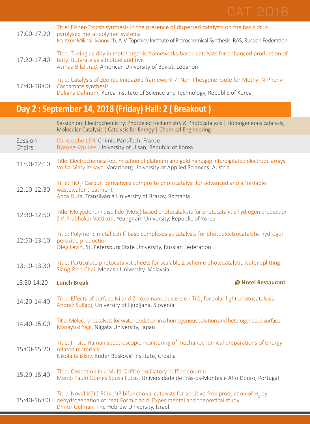

|                                                       | Casainn an Clastophamistor, Dhataalastophamistor, O. Dhataastabuis, L. Hamaganaarra satabusia                                                                                                                                           |
|-------------------------------------------------------|-----------------------------------------------------------------------------------------------------------------------------------------------------------------------------------------------------------------------------------------|
| Day 2: September 14, 2018 (Friday) Hall: 2 (Breakout) |                                                                                                                                                                                                                                         |
| 17:40-18:00                                           | Title: Catalysis of Zeolitic Imidazole framework-7: Non-Phosgene route for Methyl N-Phenyl<br>Carbamate synthesis<br>Deliana Dahnum, Korea Institute of Science and Technology, Republic of Korea                                       |
| 17:20-17:40                                           | Title: Tuning acidity in metal organic frameworks-based catalysts for enhanced production of<br>Butyl Butyrate as a biofuel additive<br>Asmaa Bilal Jrad, American University of Beirut, Lebanon                                        |
| 17:00-17:20                                           | Title: Fisher-Tropsh synthesis in the presence of dispersed catalysts on the basis of ir-<br>pyrolysed metal-polymer systems<br>Ivantsov Mikhail Ivanovich, A.V. Topchiev Institute of Petrochemical Synthesis, RAS, Russian Federation |

|                    | Session on: Electrochemistry, Photoelectrochemistry & Photocatalysis   Homogeneous catalysis,<br>Molecular Catalysis   Catalysis for Energy   Chemical Engineering                     |
|--------------------|----------------------------------------------------------------------------------------------------------------------------------------------------------------------------------------|
| Session<br>Chairs: | Christophe LEN, Chimie ParisTech, France<br>Byeong-Kyu Lee, University of Ulsan, Republic of Korea                                                                                     |
| 11:50-12:10        | Title: Electrochemical optimization of platinum and gold nanogap interdigitated electrode arrays<br>Volha Matylitskaya, Vorarlberg University of Applied Sciences, Austria             |
| 12:10-12:30        | Title: TiO <sub>2</sub> - Carbon derivatives composite photocatalyst for advanced and affordable<br>wastewater treatment<br>Anca Duta, Transilvania University of Brasov, Romania      |
| 12:30-12:50        | Title: Molybdenum disulfide (MoS <sub>2</sub> ) based photocatalysts for photocatalytic hydrogen production<br>S.V. Prabhakar Vattikuti, Yeungnam University, Republic of Korea        |
| 12:50-13:10        | Title: Polymeric metal Schiff base complexes as catalysts for photoelectrocatalytic hydrogen<br>peroxide production<br>Oleg Levin, St. Petersburg State University, Russian Federation |
| 13:10-13:30        | Title: Particulate photocatalyst sheets for scalable Z-scheme photocatalytic water splitting<br>Siang-Piao Chai, Monash University, Malaysia                                           |
| 13:30-14:20        | @ Hotel Restaurant<br><b>Lunch Break</b>                                                                                                                                               |
| 14:20-14:40        | Title: Effects of surface Ni and Zn oxo-nanoclusters on TiO <sub>3</sub> for solar light photocatalysis<br>Andraž Šuligoj, University of Ljubljana, Slovenia                           |
| 14:40-15:00        | Title: Molecular catalysts for water oxidation in a homogenous solution and heterogeneous surface<br>Masayuki Yagi, Niigata University, Japan                                          |
| 15:00-15:20        | Title: In-situ Raman spectroscopic monitoring of mechanochemical preparations of energy-<br>related materials<br>Nikola Biliškov, Ruđer Bošković Institute, Croatia                    |
| 15:20-15:40        | Title: Ozonation in a Multi-Orifice oscillatory baffled column<br>Marco Paulo Gomes Sousa Lucas, Universidade de Trás-os-Montes e Alto Douro, Portugal                                 |
|                    | Title: Novel Ir(III)-PC(sp <sup>3</sup> )P bifunctional catalysts for additive-free production of H <sub>2</sub> by                                                                    |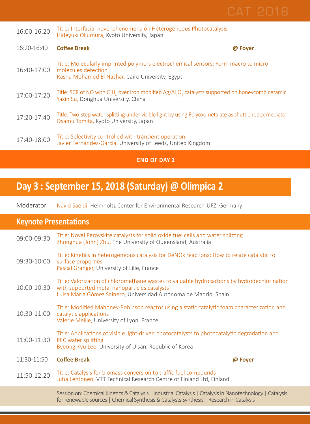| 16:00-16:20 | Title: Interfacial novel phenomena on Heterogeneous Photocatalysis<br>Hideyuki Okumura, Kyoto University, Japan                                                     |         |
|-------------|---------------------------------------------------------------------------------------------------------------------------------------------------------------------|---------|
| 16:20-16:40 | <b>Coffee Break</b>                                                                                                                                                 | @ Foyer |
| 16:40-17:00 | Title: Molecularly imprinted polymers electrochemical sensors: Form macro to micro<br>molecules detection<br>Rasha Mohamed El Nashar, Cairo University, Egypt       |         |
| 17:00-17:20 | Title: SCR of NO with $C_sH_c$ over iron modified Ag/Al <sub>2</sub> O <sub>3</sub> catalysts supported on honeycomb ceramic<br>Yaxin Su, Donghua University, China |         |
| 17:20-17:40 | Title: Two-step water splitting under visible light by using Polyoxometalate as shuttle redox mediator<br>Osamu Tomita, Kyoto University, Japan                     |         |
| 17:40-18:00 | Title: Selectivity controlled with transient operation<br>Javier Fernandez-Garcia, University of Leeds, United Kingdom                                              |         |
|             |                                                                                                                                                                     |         |

### **END OF DAY 2**

# **Day 3 : September 15, 2018 (Saturday) @ Olimpica 2**

Moderator Navid Saeidi, Helmholtz Center for Environmental Research-UFZ, Germany

### **Keynote Presentations**

| 09:00-09:30 | Title: Novel Perovskite catalysts for solid oxide fuel cells and water splitting<br>Zhonghua (John) Zhu, The University of Queensland, Australia                                                                |
|-------------|-----------------------------------------------------------------------------------------------------------------------------------------------------------------------------------------------------------------|
| 09:30-10:00 | Title: Kinetics in heterogeneous catalysis for DeNOx reactions: How to relate catalytic to<br>surface properties<br>Pascal Granger, University of Lille, France                                                 |
| 10:00-10:30 | Title: Valorization of chloromethane wastes to valuable hydrocarbons by hydrodechlorination<br>with supported metal nanoparticles catalysts<br>Luisa María Gómez Sainero, Universidad Autónoma de Madrid, Spain |
| 10:30-11:00 | Title: Modified Mahoney-Robinson reactor using a static catalytic foam characterization and<br>catalytic applications<br>Valérie Meille, University of Lyon, France                                             |
| 11:00-11:30 | Title: Applications of visible light-driven photocatalysts to photocatalytic degradation and<br>PEC water splitting<br>Byeong-Kyu Lee, University of Ulsan, Republic of Korea                                   |
| 11:30-11:50 | <b>Coffee Break</b><br>@ Foyer                                                                                                                                                                                  |
| 11:50-12:20 | Title: Catalysis for biomass conversion to traffic fuel compounds<br>Juha Lehtonen, VTT Technical Research Centre of Finland Ltd, Finland                                                                       |
|             | Session on: Chemical Kinetics & Catalysis   Industrial Catalysis   Catalysis in Nanotechnology   Catalysis<br>for renewable sources   Chemical Synthesis & Catalysts Synthesis   Research in Catalysis          |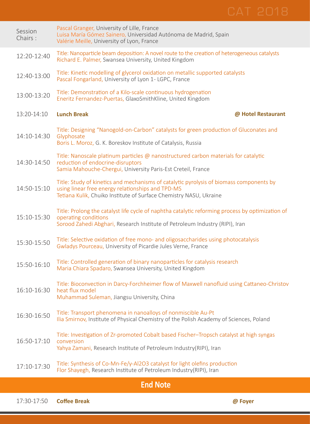| Session<br>Chairs: | Pascal Granger, University of Lille, France<br>Luisa María Gómez Sainero, Universidad Autónoma de Madrid, Spain<br>Valérie Meille, University of Lyon, France                                                      |
|--------------------|--------------------------------------------------------------------------------------------------------------------------------------------------------------------------------------------------------------------|
| 12:20-12:40        | Title: Nanoparticle beam deposition: A novel route to the creation of heterogeneous catalysts<br>Richard E. Palmer, Swansea University, United Kingdom                                                             |
| 12:40-13:00        | Title: Kinetic modelling of glycerol oxidation on metallic supported catalysts<br>Pascal Fongarland, University of Lyon 1- LGPC, France                                                                            |
| 13:00-13:20        | Title: Demonstration of a Kilo-scale continuous hydrogenation<br>Eneritz Fernandez-Puertas, GlaxoSmithKline, United Kingdom                                                                                        |
| 13:20-14:10        | <b>Lunch Break</b><br>@ Hotel Restaurant                                                                                                                                                                           |
| 14:10-14:30        | Title: Designing "Nanogold-on-Carbon" catalysts for green production of Gluconates and<br>Glyphosate<br>Boris L. Moroz, G. K. Boreskov Institute of Catalysis, Russia                                              |
| 14:30-14:50        | Title: Nanoscale platinum particles @ nanostructured carbon materials for catalytic<br>reduction of endocrine-disruptors<br>Samia Mahouche-Chergui, University Paris-Est Creteil, France                           |
| 14:50-15:10        | Title: Study of kinetics and mechanisms of catalytic pyrolysis of biomass components by<br>using linear free energy relationships and TPD-MS<br>Tetiana Kulik, Chuiko Institute of Surface Chemistry NASU, Ukraine |
| 15:10-15:30        | Title: Prolong the catalyst life cycle of naphtha catalytic reforming process by optimization of<br>operating conditions<br>Sorood Zahedi Abghari, Research Institute of Petroleum Industry (RIPI), Iran           |
| 15:30-15:50        | Title: Selective oxidation of free mono- and oligosaccharides using photocatalysis<br>Gwladys Pourceau, University of Picardie Jules Verne, France                                                                 |
| 15:50-16:10        | Title: Controlled generation of binary nanoparticles for catalysis research<br>Maria Chiara Spadaro, Swansea University, United Kingdom                                                                            |
| 16:10-16:30        | Title: Bioconvection in Darcy-Forchheimer flow of Maxwell nanofluid using Cattaneo-Christov<br>heat flux model<br>Muhammad Suleman, Jiangsu University, China                                                      |
| 16:30-16:50        | Title: Transport phenomena in nanoalloys of nonmiscible Au-Pt<br>Ilia Smirnov, Institute of Physical Chemistry of the Polish Academy of Sciences, Poland                                                           |
| 16:50-17:10        | Title: Investigation of Zr-promoted Cobalt based Fischer-Tropsch catalyst at high syngas<br>conversion<br>Yahya Zamani, Research Institute of Petroleum Industry(RIPI), Iran                                       |
| 17:10-17:30        | Title: Synthesis of Co-Mn-Fe/y-Al2O3 catalyst for light olefins production<br>Flor Shayegh, Research Institute of Petroleum Industry(RIPI), Iran                                                                   |